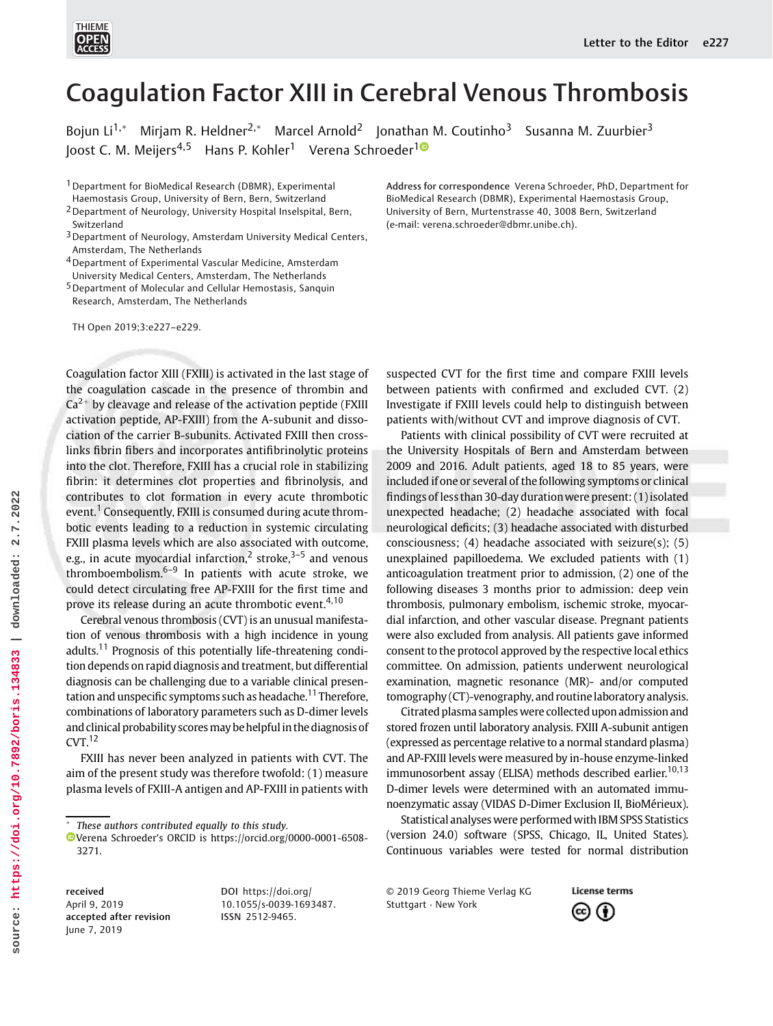

# Coagulation Factor XIII in Cerebral Venous Thrombosis

Bojun Li<sup>1,\*</sup> Mirjam R. Heldner<sup>2,\*</sup> Marcel Arnold<sup>2</sup> Jonathan M. Coutinho<sup>3</sup> Susanna M. Zuurbier<sup>3</sup> loost C. M. Meijers<sup>4,5</sup> Hans P. Kohler<sup>[1](https://orcid.org/0000-0001-6508-3271)</sup> Verena Schroeder<sup>10</sup>

1Department for BioMedical Research (DBMR), Experimental

- Haemostasis Group, University of Bern, Bern, Switzerland
- 2Department of Neurology, University Hospital Inselspital, Bern, Switzerland
- <sup>3</sup> Department of Neurology, Amsterdam University Medical Centers, Amsterdam, The Netherlands
- 4Department of Experimental Vascular Medicine, Amsterdam University Medical Centers, Amsterdam, The Netherlands
- 5Department of Molecular and Cellular Hemostasis, Sanquin Research, Amsterdam, The Netherlands

TH Open 2019;3:e227–e229.

Coagulation factor XIII (FXIII) is activated in the last stage of the coagulation cascade in the presence of thrombin and  $Ca<sup>2+</sup>$  by cleavage and release of the activation peptide (FXIII) activation peptide, AP-FXIII) from the A-subunit and dissociation of the carrier B-subunits. Activated FXIII then crosslinks fibrin fibers and incorporates antifibrinolytic proteins into the clot. Therefore, FXIII has a crucial role in stabilizing fibrin: it determines clot properties and fibrinolysis, and contributes to clot formation in every acute thrombotic event.<sup>1</sup> Consequently, FXIII is consumed during acute thrombotic events leading to a reduction in systemic circulating FXIII plasma levels which are also associated with outcome, e.g., in acute myocardial infarction,<sup>2</sup> stroke, $3-5$  and venous thromboembolism. $6-9$  In patients with acute stroke, we could detect circulating free AP-FXIII for the first time and prove its release during an acute thrombotic event.<sup>4,10</sup>

Cerebral venous thrombosis (CVT) is an unusual manifestation of venous thrombosis with a high incidence in young adults.<sup>11</sup> Prognosis of this potentially life-threatening condition depends on rapid diagnosis and treatment, but differential diagnosis can be challenging due to a variable clinical presentation and unspecific symptoms such as headache.<sup>11</sup> Therefore, combinations of laboratory parameters such as D-dimer levels and clinical probability scores may be helpful in the diagnosis of  $CVT<sup>12</sup>$ 

FXIII has never been analyzed in patients with CVT. The aim of the present study was therefore twofold: (1) measure plasma levels of FXIII-A antigen and AP-FXIII in patients with

These authors contributed equally to this study.

Address for correspondence Verena Schroeder, PhD, Department for BioMedical Research (DBMR), Experimental Haemostasis Group, University of Bern, Murtenstrasse 40, 3008 Bern, Switzerland (e-mail: [verena.schroeder@dbmr.unibe.ch\)](mailto:verena.schroeder@dbmr.unibe.ch).

suspected CVT for the first time and compare FXIII levels between patients with confirmed and excluded CVT. (2) Investigate if FXIII levels could help to distinguish between patients with/without CVT and improve diagnosis of CVT.

Patients with clinical possibility of CVT were recruited at the University Hospitals of Bern and Amsterdam between 2009 and 2016. Adult patients, aged 18 to 85 years, were included if one or several of the following symptoms or clinical findings of less than 30-day durationwere present: (1) isolated unexpected headache; (2) headache associated with focal neurological deficits; (3) headache associated with disturbed consciousness; (4) headache associated with seizure(s); (5) unexplained papilloedema. We excluded patients with (1) anticoagulation treatment prior to admission, (2) one of the following diseases 3 months prior to admission: deep vein thrombosis, pulmonary embolism, ischemic stroke, myocardial infarction, and other vascular disease. Pregnant patients were also excluded from analysis. All patients gave informed consent to the protocol approved by the respective local ethics committee. On admission, patients underwent neurological examination, magnetic resonance (MR)- and/or computed tomography (CT)-venography, and routinelaboratory analysis.

Citrated plasma samples were collected upon admission and stored frozen until laboratory analysis. FXIII A-subunit antigen (expressed as percentage relative to a normal standard plasma) and AP-FXIII levels were measured by in-house enzyme-linked immunosorbent assay (ELISA) methods described earlier.<sup>10,13</sup> D-dimer levels were determined with an automated immunoenzymatic assay (VIDAS D-Dimer Exclusion II, BioMérieux).

Statistical analyses were performed with IBM SPSS Statistics (version 24.0) software (SPSS, Chicago, IL, United States). Continuous variables were tested for normal distribution

received April 9, 2019 accepted after revision June 7, 2019

DOI [https://doi.org/](https://doi.org/10.1055/s-0039-1693487) [10.1055/s-0039-1693487](https://doi.org/10.1055/s-0039-1693487). ISSN 2512-9465.

© 2019 Georg Thieme Verlag KG Stuttgart · New York



Verena Schroeder's ORCID is https://orcid.org/0000-0001-6508- 3271.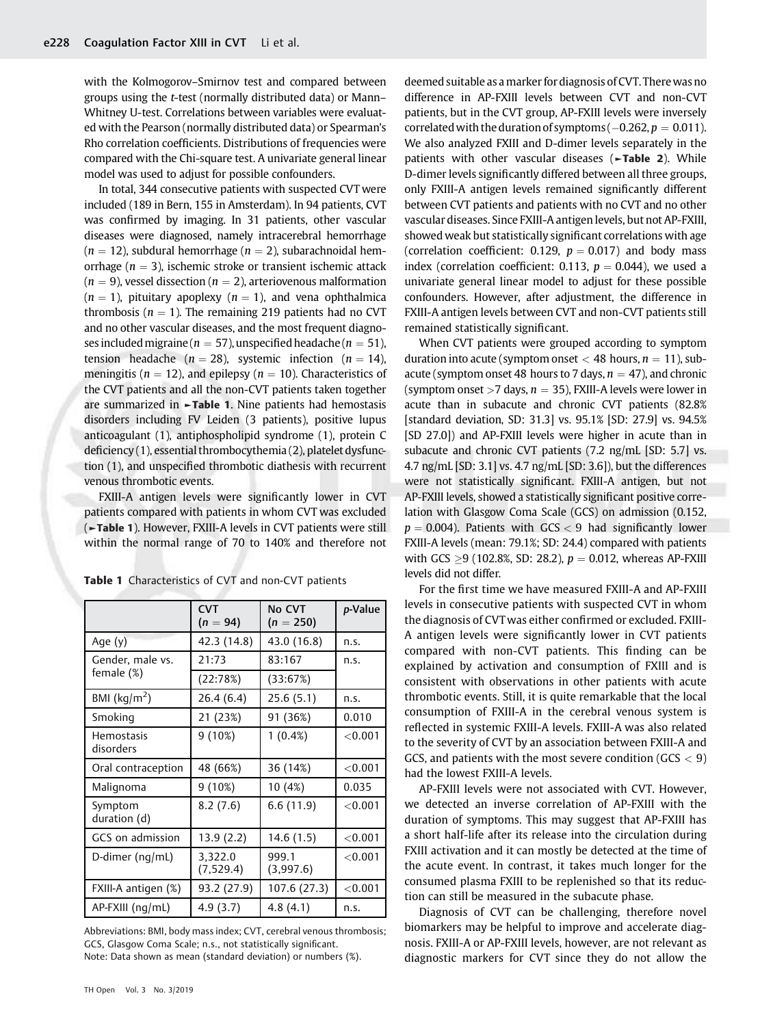with the Kolmogorov–Smirnov test and compared between groups using the t-test (normally distributed data) or Mann– Whitney U-test. Correlations between variables were evaluated with the Pearson (normally distributed data) or Spearman's Rho correlation coefficients. Distributions of frequencies were compared with the Chi-square test. A univariate general linear model was used to adjust for possible confounders.

In total, 344 consecutive patients with suspected CVT were included (189 in Bern, 155 in Amsterdam). In 94 patients, CVT was confirmed by imaging. In 31 patients, other vascular diseases were diagnosed, namely intracerebral hemorrhage  $(n = 12)$ , subdural hemorrhage  $(n = 2)$ , subarachnoidal hemorrhage ( $n = 3$ ), ischemic stroke or transient ischemic attack  $(n = 9)$ , vessel dissection  $(n = 2)$ , arteriovenous malformation  $(n = 1)$ , pituitary apoplexy  $(n = 1)$ , and vena ophthalmica thrombosis ( $n = 1$ ). The remaining 219 patients had no CVT and no other vascular diseases, and the most frequent diagnoses included migraine ( $n = 57$ ), unspecified headache ( $n = 51$ ), tension headache ( $n = 28$ ), systemic infection ( $n = 14$ ), meningitis ( $n = 12$ ), and epilepsy ( $n = 10$ ). Characteristics of the CVT patients and all the non-CVT patients taken together are summarized in ►Table 1. Nine patients had hemostasis disorders including FV Leiden (3 patients), positive lupus anticoagulant (1), antiphospholipid syndrome (1), protein C deficiency (1), essential thrombocythemia (2), platelet dysfunction (1), and unspecified thrombotic diathesis with recurrent venous thrombotic events.

FXIII-A antigen levels were significantly lower in CVT patients compared with patients in whom CVT was excluded (►Table 1). However, FXIII-A levels in CVT patients were still within the normal range of 70 to 140% and therefore not

|                                | <b>CVT</b><br>$(n = 94)$ | No CVT<br>$(n = 250)$ | p-Value    |
|--------------------------------|--------------------------|-----------------------|------------|
| Age $(y)$                      | 42.3 (14.8)              | 43.0 (16.8)           | n.s.       |
| Gender, male vs.<br>female (%) | 21:73                    | 83:167                | n.s.       |
|                                | (22:78%)                 | (33:67%)              |            |
| BMI ( $\text{kg/m}^2$ )        | 26.4 (6.4)               | 25.6(5.1)             | n.s.       |
| Smoking                        | 21 (23%)                 | 91 (36%)              | 0.010      |
| Hemostasis<br>disorders        | 9(10%)                   | $1(0.4\%)$            | < 0.001    |
| Oral contraception             | 48 (66%)                 | 36 (14%)              | < 0.001    |
| Malignoma                      | 9(10%)                   | 10 (4%)               | 0.035      |
| Symptom<br>duration (d)        | 8.2(7.6)                 | 6.6(11.9)             | < 0.001    |
| GCS on admission               | 13.9 (2.2)               | 14.6(1.5)             | < 0.001    |
| D-dimer ( $nq/mL$ )            | 3,322.0<br>(7,529.4)     | 999.1<br>(3,997.6)    | ${<}0.001$ |
| FXIII-A antigen (%)            | 93.2 (27.9)              | 107.6 (27.3)          | < 0.001    |
| $AP-FXIII$ (ng/mL)             | 4.9(3.7)                 | 4.8(4.1)              | n.s.       |

Table 1 Characteristics of CVT and non-CVT patients

Abbreviations: BMI, body mass index; CVT, cerebral venous thrombosis; GCS, Glasgow Coma Scale; n.s., not statistically significant. Note: Data shown as mean (standard deviation) or numbers (%).

deemed suitable as a marker for diagnosis of CVT. Therewas no difference in AP-FXIII levels between CVT and non-CVT patients, but in the CVT group, AP-FXIII levels were inversely correlated with the duration of symptoms ( $-0.262$ ,  $p = 0.011$ ). We also analyzed FXIII and D-dimer levels separately in the patients with other vascular diseases (-Table 2). While D-dimer levels significantly differed between all three groups, only FXIII-A antigen levels remained significantly different between CVT patients and patients with no CVT and no other vascular diseases. Since FXIII-A antigen levels, but not AP-FXIII, showed weak but statistically significant correlations with age (correlation coefficient: 0.129,  $p = 0.017$ ) and body mass index (correlation coefficient: 0.113,  $p = 0.044$ ), we used a univariate general linear model to adjust for these possible confounders. However, after adjustment, the difference in FXIII-A antigen levels between CVT and non-CVT patients still remained statistically significant.

When CVT patients were grouped according to symptom duration into acute (symptom onset  $<$  48 hours,  $n = 11$ ), subacute (symptom onset 48 hours to 7 days,  $n = 47$ ), and chronic (symptom onset >7 days,  $n = 35$ ), FXIII-A levels were lower in acute than in subacute and chronic CVT patients (82.8% [standard deviation, SD: 31.3] vs. 95.1% [SD: 27.9] vs. 94.5% [SD 27.0]) and AP-FXIII levels were higher in acute than in subacute and chronic CVT patients (7.2 ng/mL [SD: 5.7] vs. 4.7 ng/mL [SD: 3.1] vs. 4.7 ng/mL [SD: 3.6]), but the differences were not statistically significant. FXIII-A antigen, but not AP-FXIII levels, showed a statistically significant positive correlation with Glasgow Coma Scale (GCS) on admission (0.152,  $p = 0.004$ ). Patients with GCS < 9 had significantly lower FXIII-A levels (mean: 79.1%; SD: 24.4) compared with patients with GCS  $\geq$ 9 (102.8%, SD: 28.2),  $p = 0.012$ , whereas AP-FXIII levels did not differ.

For the first time we have measured FXIII-A and AP-FXIII levels in consecutive patients with suspected CVT in whom the diagnosis of CVTwas either confirmed or excluded. FXIII-A antigen levels were significantly lower in CVT patients compared with non-CVT patients. This finding can be explained by activation and consumption of FXIII and is consistent with observations in other patients with acute thrombotic events. Still, it is quite remarkable that the local consumption of FXIII-A in the cerebral venous system is reflected in systemic FXIII-A levels. FXIII-A was also related to the severity of CVT by an association between FXIII-A and GCS, and patients with the most severe condition ( $GCS < 9$ ) had the lowest FXIII-A levels.

AP-FXIII levels were not associated with CVT. However, we detected an inverse correlation of AP-FXIII with the duration of symptoms. This may suggest that AP-FXIII has a short half-life after its release into the circulation during FXIII activation and it can mostly be detected at the time of the acute event. In contrast, it takes much longer for the consumed plasma FXIII to be replenished so that its reduction can still be measured in the subacute phase.

Diagnosis of CVT can be challenging, therefore novel biomarkers may be helpful to improve and accelerate diagnosis. FXIII-A or AP-FXIII levels, however, are not relevant as diagnostic markers for CVT since they do not allow the